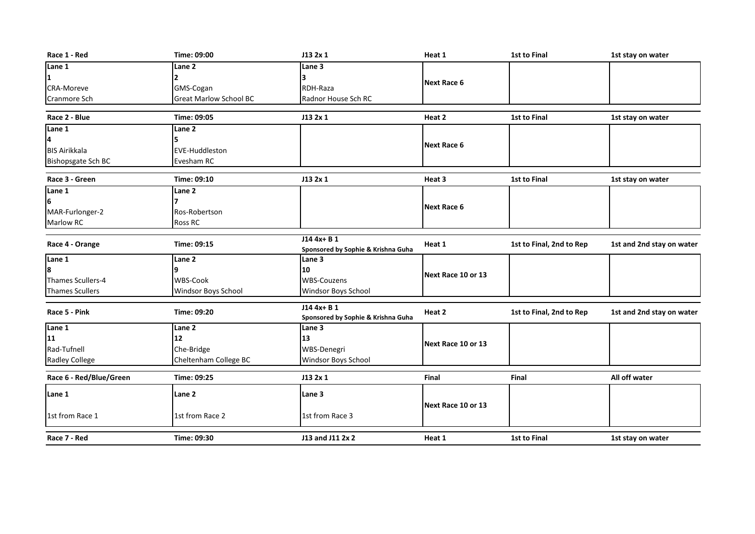| Race 1 - Red            | Time: 09:00                   | J132x1                                             | Heat 1             | <b>1st to Final</b>      | 1st stay on water         |
|-------------------------|-------------------------------|----------------------------------------------------|--------------------|--------------------------|---------------------------|
| Lane 1                  | Lane 2                        | <b>Lane 3</b>                                      |                    |                          |                           |
| 1                       | 2                             |                                                    | Next Race 6        |                          |                           |
| <b>CRA-Moreve</b>       | GMS-Cogan                     | RDH-Raza                                           |                    |                          |                           |
| Cranmore Sch            | <b>Great Marlow School BC</b> | Radnor House Sch RC                                |                    |                          |                           |
|                         |                               |                                                    |                    |                          |                           |
| Race 2 - Blue           | Time: 09:05                   | J13 2x 1                                           | Heat 2             | 1st to Final             | 1st stay on water         |
| Lane 1                  | Lane <sub>2</sub>             |                                                    |                    |                          |                           |
| 4                       | 5                             |                                                    | Next Race 6        |                          |                           |
| <b>BIS Airikkala</b>    | <b>EVE-Huddleston</b>         |                                                    |                    |                          |                           |
| Bishopsgate Sch BC      | Evesham RC                    |                                                    |                    |                          |                           |
| Race 3 - Green          | Time: 09:10                   | J13 2x 1                                           | Heat 3             | <b>1st to Final</b>      | 1st stay on water         |
| Lane 1                  | Lane 2                        |                                                    |                    |                          |                           |
| l6                      |                               |                                                    |                    |                          |                           |
| MAR-Furlonger-2         | Ros-Robertson                 |                                                    | <b>Next Race 6</b> |                          |                           |
| Marlow RC               | <b>Ross RC</b>                |                                                    |                    |                          |                           |
|                         |                               |                                                    |                    |                          |                           |
| Race 4 - Orange         | Time: 09:15                   | $J144x + B1$<br>Sponsored by Sophie & Krishna Guha | Heat 1             | 1st to Final, 2nd to Rep | 1st and 2nd stay on water |
| Lane 1                  | Lane 2                        | Lane 3                                             |                    |                          |                           |
| l8                      | 9                             | 10                                                 | Next Race 10 or 13 |                          |                           |
| Thames Scullers-4       | <b>WBS-Cook</b>               | <b>WBS-Couzens</b>                                 |                    |                          |                           |
| <b>Thames Scullers</b>  | Windsor Boys School           | Windsor Boys School                                |                    |                          |                           |
| Race 5 - Pink           | Time: 09:20                   | J14 4x+ B 1                                        |                    |                          |                           |
|                         |                               | Sponsored by Sophie & Krishna Guha                 | Heat 2             | 1st to Final, 2nd to Rep | 1st and 2nd stay on water |
| Lane 1                  | Lane <sub>2</sub>             | Lane 3                                             |                    |                          |                           |
| 11                      | 12                            | 13                                                 | Next Race 10 or 13 |                          |                           |
| Rad-Tufnell             | Che-Bridge                    | WBS-Denegri                                        |                    |                          |                           |
| <b>Radley College</b>   | Cheltenham College BC         | Windsor Boys School                                |                    |                          |                           |
| Race 6 - Red/Blue/Green | Time: 09:25                   | J132x1                                             | Final              | Final                    | All off water             |
| Lane 1                  | Lane <sub>2</sub>             | Lane 3                                             |                    |                          |                           |
|                         |                               |                                                    | Next Race 10 or 13 |                          |                           |
| 1st from Race 1         | 1st from Race 2               | 1st from Race 3                                    |                    |                          |                           |
| Race 7 - Red            | Time: 09:30                   | J13 and J11 2x 2                                   | Heat 1             | 1st to Final             | 1st stay on water         |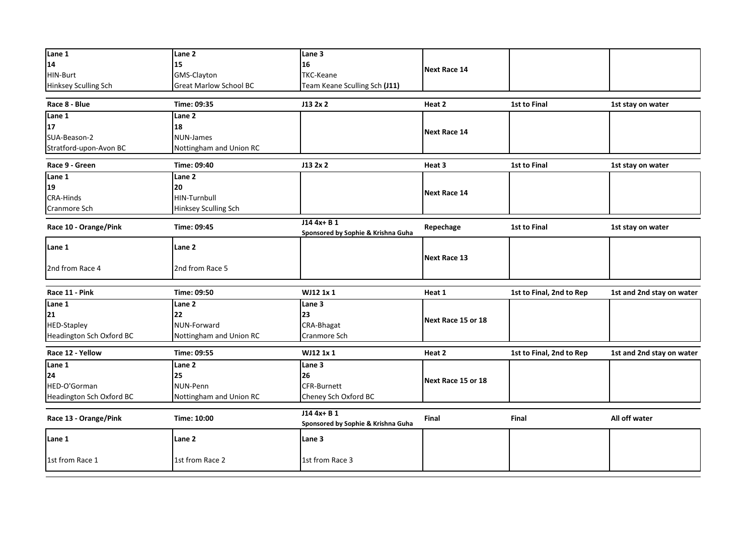| Lane 1                   | Lane 2                        | Lane 3                                             |                     |                          |                           |
|--------------------------|-------------------------------|----------------------------------------------------|---------------------|--------------------------|---------------------------|
| 14                       | 15                            | 16                                                 | <b>Next Race 14</b> |                          |                           |
| HIN-Burt                 | GMS-Clayton                   | <b>TKC-Keane</b>                                   |                     |                          |                           |
| Hinksey Sculling Sch     | <b>Great Marlow School BC</b> | Team Keane Sculling Sch (J11)                      |                     |                          |                           |
| Race 8 - Blue            | Time: 09:35                   | J13 2x 2                                           | Heat 2              | 1st to Final             | 1st stay on water         |
| Lane $\overline{1}$      | Lane 2                        |                                                    |                     |                          |                           |
| 17                       | 18                            |                                                    | <b>Next Race 14</b> |                          |                           |
| SUA-Beason-2             | NUN-James                     |                                                    |                     |                          |                           |
| Stratford-upon-Avon BC   | Nottingham and Union RC       |                                                    |                     |                          |                           |
| Race 9 - Green           | Time: 09:40                   | J132x2                                             | Heat 3              | 1st to Final             | 1st stay on water         |
| Lane 1                   | Lane 2                        |                                                    |                     |                          |                           |
| 19                       | 20                            |                                                    |                     |                          |                           |
| CRA-Hinds                | HIN-Turnbull                  |                                                    | <b>Next Race 14</b> |                          |                           |
| Cranmore Sch             | Hinksey Sculling Sch          |                                                    |                     |                          |                           |
|                          |                               | $J144x + B1$                                       |                     |                          |                           |
| Race 10 - Orange/Pink    | Time: 09:45                   | Sponsored by Sophie & Krishna Guha                 | Repechage           | 1st to Final             | 1st stay on water         |
| Lane 1                   | Lane 2                        |                                                    |                     |                          |                           |
|                          |                               |                                                    | <b>Next Race 13</b> |                          |                           |
| 2nd from Race 4          | 2nd from Race 5               |                                                    |                     |                          |                           |
|                          |                               |                                                    |                     |                          |                           |
| Race 11 - Pink           | Time: 09:50                   | WJ12 1x 1                                          | Heat 1              | 1st to Final, 2nd to Rep | 1st and 2nd stay on water |
| Lane 1                   | Lane 2                        | Lane 3                                             |                     |                          |                           |
| 21                       | 22                            | 23                                                 | Next Race 15 or 18  |                          |                           |
| <b>HED-Stapley</b>       | NUN-Forward                   | CRA-Bhagat                                         |                     |                          |                           |
| Headington Sch Oxford BC | Nottingham and Union RC       | Cranmore Sch                                       |                     |                          |                           |
| Race 12 - Yellow         | Time: 09:55                   | WJ12 1x 1                                          | Heat 2              | 1st to Final, 2nd to Rep | 1st and 2nd stay on water |
| Lane 1                   | Lane 2                        | Lane 3                                             |                     |                          |                           |
| 24                       | 25                            | 26                                                 |                     |                          |                           |
| HED-O'Gorman             | NUN-Penn                      | <b>CFR-Burnett</b>                                 | Next Race 15 or 18  |                          |                           |
| Headington Sch Oxford BC | Nottingham and Union RC       | Cheney Sch Oxford BC                               |                     |                          |                           |
|                          |                               |                                                    |                     |                          |                           |
| Race 13 - Orange/Pink    | Time: 10:00                   | $J144x + B1$<br>Sponsored by Sophie & Krishna Guha | Final               | Final                    | All off water             |
|                          |                               |                                                    |                     |                          |                           |
| Lane 1                   | Lane 2                        | Lane 3                                             |                     |                          |                           |
| 1st from Race 1          | 1st from Race 2               | 1st from Race 3                                    |                     |                          |                           |
|                          |                               |                                                    |                     |                          |                           |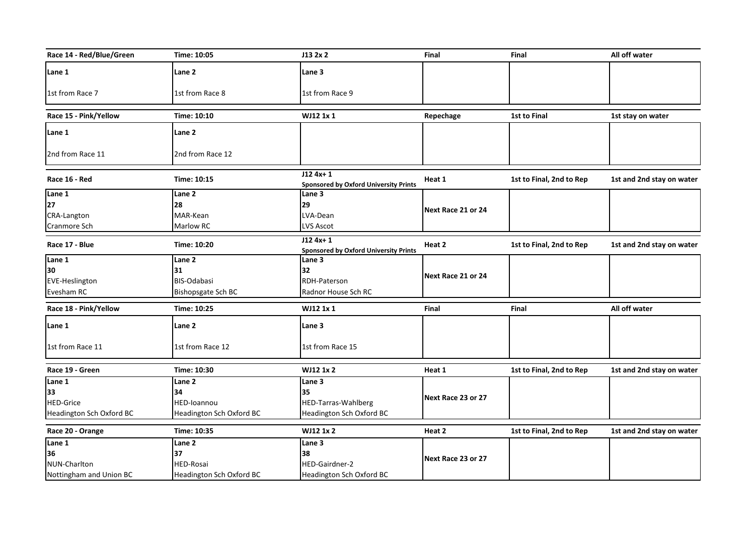| Race 14 - Red/Blue/Green | Time: 10:05              | J13 2x 2                                                  | Final              | Final                    | All off water             |
|--------------------------|--------------------------|-----------------------------------------------------------|--------------------|--------------------------|---------------------------|
| Lane 1                   | Lane 2                   | Lane 3                                                    |                    |                          |                           |
| 1st from Race 7          | 1st from Race 8          | 1st from Race 9                                           |                    |                          |                           |
| Race 15 - Pink/Yellow    | Time: 10:10              | WJ12 1x 1                                                 | Repechage          | <b>1st to Final</b>      | 1st stay on water         |
| Lane 1                   | Lane <sub>2</sub>        |                                                           |                    |                          |                           |
| 2nd from Race 11         | 2nd from Race 12         |                                                           |                    |                          |                           |
| Race 16 - Red            | Time: 10:15              | $J124x+1$<br><b>Sponsored by Oxford University Prints</b> | Heat 1             | 1st to Final, 2nd to Rep | 1st and 2nd stay on water |
| Lane 1                   | Lane <sub>2</sub>        | Lane 3                                                    |                    |                          |                           |
| 27                       | 28                       | 29                                                        | Next Race 21 or 24 |                          |                           |
| CRA-Langton              | MAR-Kean                 | LVA-Dean                                                  |                    |                          |                           |
| Cranmore Sch             | Marlow RC                | <b>LVS Ascot</b>                                          |                    |                          |                           |
| Race 17 - Blue           | Time: 10:20              | $J124x+1$<br><b>Sponsored by Oxford University Prints</b> | Heat 2             | 1st to Final, 2nd to Rep | 1st and 2nd stay on water |
| Lane 1                   | Lane 2                   | Lane 3                                                    |                    |                          |                           |
| 30                       | 31                       | 32                                                        | Next Race 21 or 24 |                          |                           |
| <b>EVE-Heslington</b>    | <b>BIS-Odabasi</b>       | RDH-Paterson                                              |                    |                          |                           |
| Evesham RC               | Bishopsgate Sch BC       | Radnor House Sch RC                                       |                    |                          |                           |
| Race 18 - Pink/Yellow    | Time: 10:25              | WJ12 1x 1                                                 | Final              | Final                    | All off water             |
| Lane 1                   | Lane 2                   | Lane 3                                                    |                    |                          |                           |
| 1st from Race 11         | 1st from Race 12         | 1st from Race 15                                          |                    |                          |                           |
| Race 19 - Green          | Time: 10:30              | WJ12 1x 2                                                 | Heat 1             | 1st to Final, 2nd to Rep | 1st and 2nd stay on water |
| Lane 1                   | Lane 2                   | Lane 3                                                    |                    |                          |                           |
| 33                       | 34                       | 35                                                        |                    |                          |                           |
| <b>HED-Grice</b>         | HED-Ioannou              | HED-Tarras-Wahlberg                                       | Next Race 23 or 27 |                          |                           |
| Headington Sch Oxford BC | Headington Sch Oxford BC | Headington Sch Oxford BC                                  |                    |                          |                           |
| Race 20 - Orange         | Time: 10:35              | WJ12 1x 2                                                 | Heat 2             | 1st to Final, 2nd to Rep | 1st and 2nd stay on water |
| Lane 1                   | Lane 2                   | Lane $3$                                                  |                    |                          |                           |
| 36                       | 37                       | 38                                                        | Next Race 23 or 27 |                          |                           |
| NUN-Charlton             | HED-Rosai                | HED-Gairdner-2                                            |                    |                          |                           |
| Nottingham and Union BC  | Headington Sch Oxford BC | Headington Sch Oxford BC                                  |                    |                          |                           |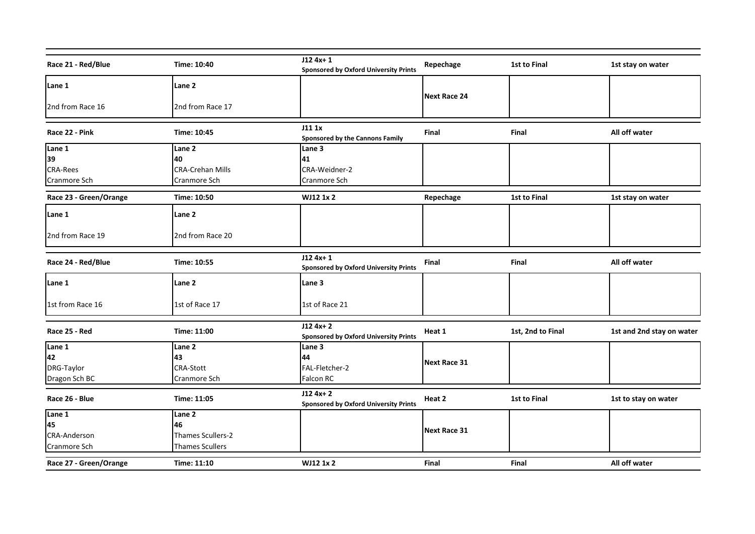| Race 21 - Red/Blue     | Time: 10:40              | $J124x+1$<br><b>Sponsored by Oxford University Prints</b> | Repechage           | 1st to Final      | 1st stay on water         |
|------------------------|--------------------------|-----------------------------------------------------------|---------------------|-------------------|---------------------------|
| Lane 1                 | Lane 2                   |                                                           |                     |                   |                           |
|                        |                          |                                                           | <b>Next Race 24</b> |                   |                           |
| 2nd from Race 16       | 2nd from Race 17         |                                                           |                     |                   |                           |
| Race 22 - Pink         | Time: 10:45              | J111x<br><b>Sponsored by the Cannons Family</b>           | Final               | Final             | All off water             |
| Lane 1                 | Lane 2                   | Lane 3                                                    |                     |                   |                           |
| 39                     | 40                       | 41                                                        |                     |                   |                           |
| <b>CRA-Rees</b>        | <b>CRA-Crehan Mills</b>  | CRA-Weidner-2                                             |                     |                   |                           |
| Cranmore Sch           | Cranmore Sch             | Cranmore Sch                                              |                     |                   |                           |
| Race 23 - Green/Orange | Time: 10:50              | <b>WJ12 1x 2</b>                                          | Repechage           | 1st to Final      | 1st stay on water         |
| Lane 1                 | Lane 2                   |                                                           |                     |                   |                           |
| 2nd from Race 19       | 2nd from Race 20         |                                                           |                     |                   |                           |
| Race 24 - Red/Blue     | Time: 10:55              | $J124x+1$<br><b>Sponsored by Oxford University Prints</b> | Final               | Final             | All off water             |
| Lane 1                 | Lane 2                   | Lane 3                                                    |                     |                   |                           |
| 1st from Race 16       | 1st of Race 17           | 1st of Race 21                                            |                     |                   |                           |
| Race 25 - Red          | Time: 11:00              | $J124x+2$<br><b>Sponsored by Oxford University Prints</b> | Heat 1              | 1st, 2nd to Final | 1st and 2nd stay on water |
| Lane 1                 | Lane 2                   | Lane 3                                                    |                     |                   |                           |
| 42                     | 43                       | 44                                                        | <b>Next Race 31</b> |                   |                           |
| DRG-Taylor             | <b>CRA-Stott</b>         | FAL-Fletcher-2                                            |                     |                   |                           |
| Dragon Sch BC          | Cranmore Sch             | Falcon RC                                                 |                     |                   |                           |
| Race 26 - Blue         | Time: 11:05              | $J124x+2$<br><b>Sponsored by Oxford University Prints</b> | Heat 2              | 1st to Final      | 1st to stay on water      |
| Lane 1                 | Lane 2                   |                                                           |                     |                   |                           |
| 45                     | 46                       |                                                           | <b>Next Race 31</b> |                   |                           |
| <b>CRA-Anderson</b>    | <b>Thames Scullers-2</b> |                                                           |                     |                   |                           |
| Cranmore Sch           | <b>Thames Scullers</b>   |                                                           |                     |                   |                           |
| Race 27 - Green/Orange | Time: 11:10              | WJ12 1x 2                                                 | <b>Final</b>        | <b>Final</b>      | All off water             |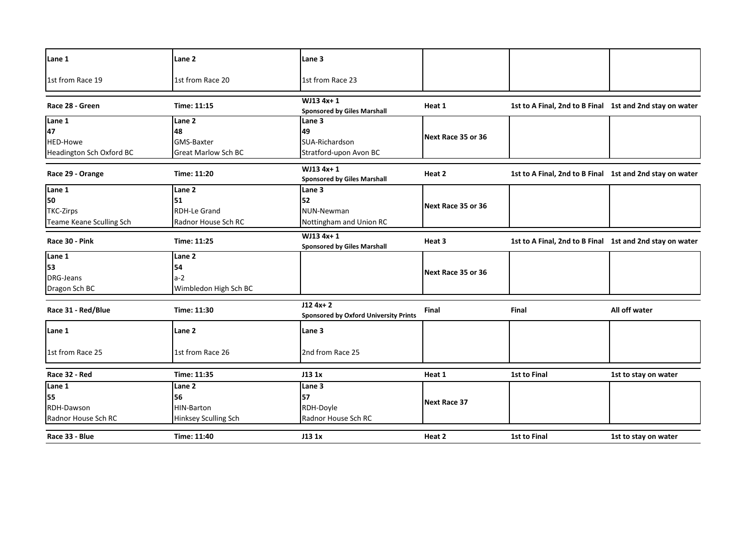| Lane 1                   | Lane 2                      | Lane 3                                                    |                     |                                                          |                      |
|--------------------------|-----------------------------|-----------------------------------------------------------|---------------------|----------------------------------------------------------|----------------------|
| 1st from Race 19         | 1st from Race 20            | 1st from Race 23                                          |                     |                                                          |                      |
| Race 28 - Green          | Time: 11:15                 | WJ13 4x+1<br><b>Sponsored by Giles Marshall</b>           | Heat 1              | 1st to A Final, 2nd to B Final 1st and 2nd stay on water |                      |
| Lane 1                   | Lane 2                      | Lane 3                                                    |                     |                                                          |                      |
| 47                       | 48                          | 49                                                        | Next Race 35 or 36  |                                                          |                      |
| HED-Howe                 | GMS-Baxter                  | SUA-Richardson                                            |                     |                                                          |                      |
| Headington Sch Oxford BC | <b>Great Marlow Sch BC</b>  | Stratford-upon Avon BC                                    |                     |                                                          |                      |
| Race 29 - Orange         | Time: 11:20                 | WJ13 4x+1<br><b>Sponsored by Giles Marshall</b>           | Heat 2              | 1st to A Final, 2nd to B Final 1st and 2nd stay on water |                      |
| Lane 1                   | Lane <sub>2</sub>           | Lane 3                                                    |                     |                                                          |                      |
| 50                       | 51                          | 52                                                        |                     |                                                          |                      |
| <b>TKC-Zirps</b>         | <b>RDH-Le Grand</b>         | NUN-Newman                                                | Next Race 35 or 36  |                                                          |                      |
| Teame Keane Sculling Sch | Radnor House Sch RC         | Nottingham and Union RC                                   |                     |                                                          |                      |
| Race 30 - Pink           | Time: 11:25                 | WJ13 4x+1<br><b>Sponsored by Giles Marshall</b>           | Heat 3              | 1st to A Final, 2nd to B Final 1st and 2nd stay on water |                      |
| Lane 1                   | Lane <sub>2</sub>           |                                                           |                     |                                                          |                      |
| 53                       | 54                          |                                                           |                     |                                                          |                      |
| DRG-Jeans                | $a-2$                       |                                                           | Next Race 35 or 36  |                                                          |                      |
| Dragon Sch BC            | Wimbledon High Sch BC       |                                                           |                     |                                                          |                      |
| Race 31 - Red/Blue       | Time: 11:30                 | $J124x+2$<br><b>Sponsored by Oxford University Prints</b> | Final               | <b>Final</b>                                             | All off water        |
| Lane 1                   | Lane 2                      | Lane 3                                                    |                     |                                                          |                      |
| 1st from Race 25         | 1st from Race 26            | 2nd from Race 25                                          |                     |                                                          |                      |
| Race 32 - Red            | Time: 11:35                 | J13 1x                                                    | Heat 1              | <b>1st to Final</b>                                      | 1st to stay on water |
| Lane 1                   | Lane 2                      | Lane 3                                                    |                     |                                                          |                      |
| 55                       | 56                          | 57                                                        | <b>Next Race 37</b> |                                                          |                      |
| RDH-Dawson               | HIN-Barton                  | RDH-Doyle                                                 |                     |                                                          |                      |
| Radnor House Sch RC      | <b>Hinksey Sculling Sch</b> | Radnor House Sch RC                                       |                     |                                                          |                      |
| Race 33 - Blue           | Time: 11:40                 | J13 1x                                                    | Heat 2              | 1st to Final                                             | 1st to stay on water |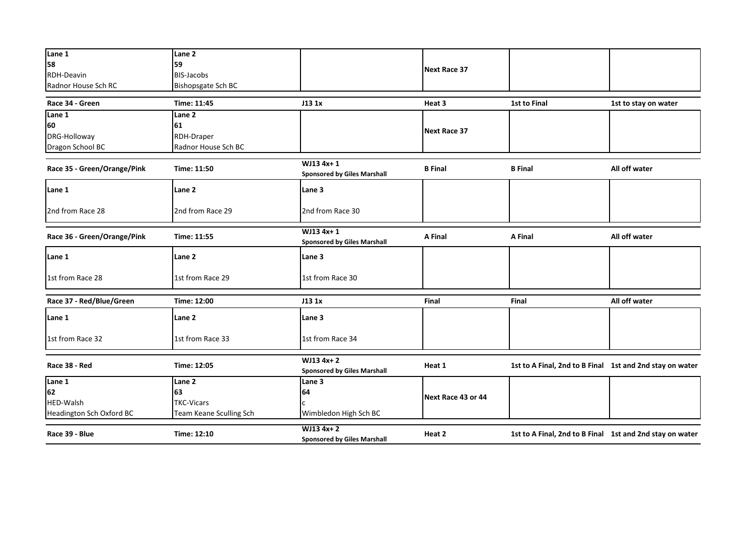| Lane 1                      | Lane 2                  |                                                  |                     |                                                          |                      |
|-----------------------------|-------------------------|--------------------------------------------------|---------------------|----------------------------------------------------------|----------------------|
| 58                          | 59                      |                                                  | <b>Next Race 37</b> |                                                          |                      |
| RDH-Deavin                  | <b>BIS-Jacobs</b>       |                                                  |                     |                                                          |                      |
| Radnor House Sch RC         | Bishopsgate Sch BC      |                                                  |                     |                                                          |                      |
| Race 34 - Green             | Time: 11:45             | J13 1x                                           | Heat 3              | 1st to Final                                             | 1st to stay on water |
| Lane 1                      | Lane 2                  |                                                  |                     |                                                          |                      |
| 60                          | 61                      |                                                  |                     |                                                          |                      |
| DRG-Holloway                | RDH-Draper              |                                                  | <b>Next Race 37</b> |                                                          |                      |
| Dragon School BC            | Radnor House Sch BC     |                                                  |                     |                                                          |                      |
|                             |                         |                                                  |                     |                                                          |                      |
| Race 35 - Green/Orange/Pink | Time: 11:50             | WJ13 4x+1<br><b>Sponsored by Giles Marshall</b>  | <b>B</b> Final      | <b>B</b> Final                                           | All off water        |
| Lane 1                      | Lane 2                  | Lane 3                                           |                     |                                                          |                      |
| 2nd from Race 28            | 2nd from Race 29        | 2nd from Race 30                                 |                     |                                                          |                      |
| Race 36 - Green/Orange/Pink | Time: 11:55             | WJ13 4x+1<br><b>Sponsored by Giles Marshall</b>  | A Final             | A Final                                                  | All off water        |
| Lane 1                      | Lane <sub>2</sub>       | Lane 3                                           |                     |                                                          |                      |
| 1st from Race 28            | 1st from Race 29        | 1st from Race 30                                 |                     |                                                          |                      |
| Race 37 - Red/Blue/Green    | Time: 12:00             | J13 1x                                           | Final               | Final                                                    | All off water        |
| Lane 1                      | Lane 2                  | Lane 3                                           |                     |                                                          |                      |
| 1st from Race 32            | 1st from Race 33        | 1st from Race 34                                 |                     |                                                          |                      |
| Race 38 - Red               | Time: 12:05             | WJ13 4x+2                                        | Heat 1              | 1st to A Final, 2nd to B Final 1st and 2nd stay on water |                      |
|                             |                         | <b>Sponsored by Giles Marshall</b>               |                     |                                                          |                      |
| Lane 1                      | Lane 2                  | Lane 3                                           |                     |                                                          |                      |
| 62                          | 63                      | 64                                               | Next Race 43 or 44  |                                                          |                      |
| HED-Walsh                   | <b>TKC-Vicars</b>       |                                                  |                     |                                                          |                      |
| Headington Sch Oxford BC    | Team Keane Sculling Sch | Wimbledon High Sch BC                            |                     |                                                          |                      |
| Race 39 - Blue              | Time: 12:10             | $WJ134x+2$<br><b>Sponsored by Giles Marshall</b> | Heat 2              | 1st to A Final, 2nd to B Final 1st and 2nd stay on water |                      |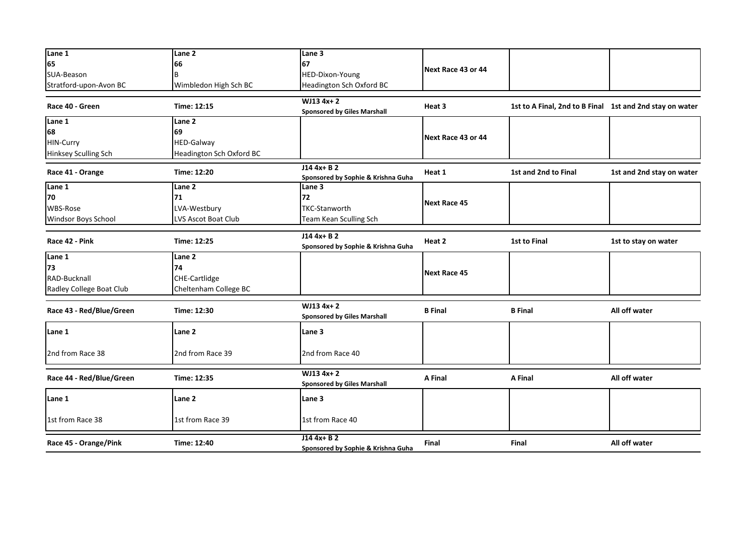| Lane 1                   | Lane <sub>2</sub>        | Lane <sub>3</sub>                                  |                     |                                                          |                           |
|--------------------------|--------------------------|----------------------------------------------------|---------------------|----------------------------------------------------------|---------------------------|
| 65                       | 66                       | 67                                                 |                     |                                                          |                           |
| SUA-Beason               | B                        | HED-Dixon-Young                                    | Next Race 43 or 44  |                                                          |                           |
| Stratford-upon-Avon BC   | Wimbledon High Sch BC    | Headington Sch Oxford BC                           |                     |                                                          |                           |
|                          |                          |                                                    |                     |                                                          |                           |
| Race 40 - Green          | Time: 12:15              | $WJ134x+2$<br><b>Sponsored by Giles Marshall</b>   | Heat 3              | 1st to A Final, 2nd to B Final 1st and 2nd stay on water |                           |
| Lane 1                   | Lane 2                   |                                                    |                     |                                                          |                           |
| 68                       | 69                       |                                                    | Next Race 43 or 44  |                                                          |                           |
| HIN-Curry                | HED-Galway               |                                                    |                     |                                                          |                           |
| Hinksey Sculling Sch     | Headington Sch Oxford BC |                                                    |                     |                                                          |                           |
| Race 41 - Orange         | Time: 12:20              | $J144x + B2$<br>Sponsored by Sophie & Krishna Guha | Heat 1              | 1st and 2nd to Final                                     | 1st and 2nd stay on water |
| Lane 1                   | Lane 2                   | Lane 3                                             |                     |                                                          |                           |
| 70                       | 71                       | 72                                                 |                     |                                                          |                           |
| <b>WBS-Rose</b>          | LVA-Westbury             | <b>TKC-Stanworth</b>                               | <b>Next Race 45</b> |                                                          |                           |
| Windsor Boys School      | LVS Ascot Boat Club      | Team Kean Sculling Sch                             |                     |                                                          |                           |
|                          |                          |                                                    |                     |                                                          |                           |
| Race 42 - Pink           | Time: 12:25              | J14 4x+ B 2<br>Sponsored by Sophie & Krishna Guha  | Heat 2              | <b>1st to Final</b>                                      | 1st to stay on water      |
| Lane 1                   | Lane <sub>2</sub>        |                                                    |                     |                                                          |                           |
| 73                       | 74                       |                                                    | <b>Next Race 45</b> |                                                          |                           |
| RAD-Bucknall             | CHE-Cartlidge            |                                                    |                     |                                                          |                           |
| Radley College Boat Club | Cheltenham College BC    |                                                    |                     |                                                          |                           |
| Race 43 - Red/Blue/Green | Time: 12:30              | WJ13 4x+2<br><b>Sponsored by Giles Marshall</b>    | <b>B</b> Final      | <b>B</b> Final                                           | All off water             |
| Lane 1                   | Lane 2                   | Lane 3                                             |                     |                                                          |                           |
| 2nd from Race 38         | 2nd from Race 39         | 2nd from Race 40                                   |                     |                                                          |                           |
| Race 44 - Red/Blue/Green | Time: 12:35              | $WJ134x+2$<br><b>Sponsored by Giles Marshall</b>   | A Final             | A Final                                                  | All off water             |
| Lane 1                   | Lane 2                   | Lane 3                                             |                     |                                                          |                           |
| 1st from Race 38         | 1st from Race 39         | 1st from Race 40                                   |                     |                                                          |                           |
| Race 45 - Orange/Pink    | Time: 12:40              | $J144x + B2$<br>Sponsored by Sophie & Krishna Guha | <b>Final</b>        | <b>Final</b>                                             | All off water             |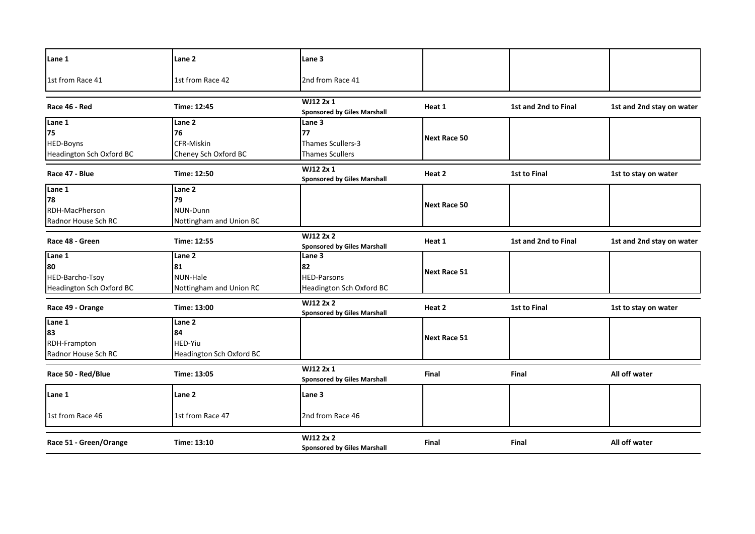| Lane 1                   | Lane <sub>2</sub>        | Lane 3                                                 |                     |                      |                           |
|--------------------------|--------------------------|--------------------------------------------------------|---------------------|----------------------|---------------------------|
| 1st from Race 41         | 1st from Race 42         | 2nd from Race 41                                       |                     |                      |                           |
| Race 46 - Red            | Time: 12:45              | WJ12 2x 1<br><b>Sponsored by Giles Marshall</b>        | Heat 1              | 1st and 2nd to Final | 1st and 2nd stay on water |
| Lane 1                   | Lane 2                   | Lane 3                                                 |                     |                      |                           |
| 75                       | 76                       | 77                                                     |                     |                      |                           |
| HED-Boyns                | CFR-Miskin               | Thames Scullers-3                                      | <b>Next Race 50</b> |                      |                           |
| Headington Sch Oxford BC | Cheney Sch Oxford BC     | <b>Thames Scullers</b>                                 |                     |                      |                           |
| Race 47 - Blue           | Time: 12:50              | WJ12 2x 1<br><b>Sponsored by Giles Marshall</b>        | Heat 2              | 1st to Final         | 1st to stay on water      |
| Lane 1                   | Lane <sub>2</sub>        |                                                        |                     |                      |                           |
| 78                       | 79                       |                                                        |                     |                      |                           |
| RDH-MacPherson           | NUN-Dunn                 |                                                        | Next Race 50        |                      |                           |
| Radnor House Sch RC      | Nottingham and Union BC  |                                                        |                     |                      |                           |
| Race 48 - Green          | Time: 12:55              | <b>WJ12 2x 2</b><br><b>Sponsored by Giles Marshall</b> | Heat 1              | 1st and 2nd to Final | 1st and 2nd stay on water |
| Lane 1                   | Lane <sub>2</sub>        | Lane <sub>3</sub>                                      |                     |                      |                           |
| 180                      | 81                       | 82                                                     | <b>Next Race 51</b> |                      |                           |
| HED-Barcho-Tsoy          | NUN-Hale                 | <b>HED-Parsons</b>                                     |                     |                      |                           |
| Headington Sch Oxford BC | Nottingham and Union RC  | Headington Sch Oxford BC                               |                     |                      |                           |
| Race 49 - Orange         | Time: 13:00              | WJ12 2x 2<br><b>Sponsored by Giles Marshall</b>        | Heat 2              | 1st to Final         | 1st to stay on water      |
| Lane 1                   | Lane 2                   |                                                        |                     |                      |                           |
| 83                       | 84                       |                                                        | <b>Next Race 51</b> |                      |                           |
| RDH-Frampton             | <b>HED-Yiu</b>           |                                                        |                     |                      |                           |
| Radnor House Sch RC      | Headington Sch Oxford BC |                                                        |                     |                      |                           |
| Race 50 - Red/Blue       | Time: 13:05              | WJ12 2x 1<br><b>Sponsored by Giles Marshall</b>        | Final               | Final                | All off water             |
|                          |                          |                                                        |                     |                      |                           |
| Lane 1                   | Lane <sub>2</sub>        | Lane 3                                                 |                     |                      |                           |
| 1st from Race 46         | 1st from Race 47         | 2nd from Race 46                                       |                     |                      |                           |
| Race 51 - Green/Orange   | Time: 13:10              | WJ12 2x 2<br><b>Sponsored by Giles Marshall</b>        | <b>Final</b>        | Final                | All off water             |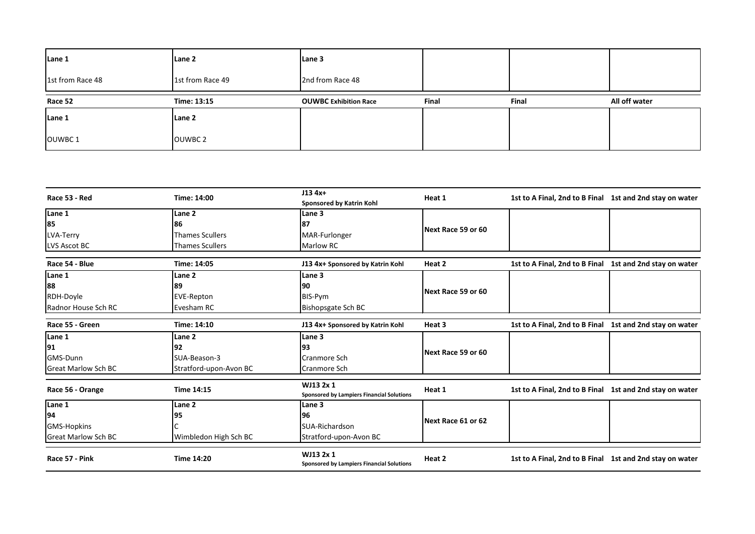| Lane 1           | Lane 2           | Lane 3                       |       |       |               |
|------------------|------------------|------------------------------|-------|-------|---------------|
| 1st from Race 48 | 1st from Race 49 | 2nd from Race 48             |       |       |               |
| Race 52          | Time: 13:15      | <b>OUWBC Exhibition Race</b> | Final | Final | All off water |
| Lane 1           | Lane 2           |                              |       |       |               |
| OUWBC1           | OUWBC 2          |                              |       |       |               |

| Race 53 - Red              | Time: 14:00            | $J134x+$<br>Sponsored by Katrin Kohl                          | Heat 1             | 1st to A Final, 2nd to B Final 1st and 2nd stay on water |  |
|----------------------------|------------------------|---------------------------------------------------------------|--------------------|----------------------------------------------------------|--|
| Lane 1                     | Lane <sub>2</sub>      | Lane 3                                                        |                    |                                                          |  |
| 85                         | 86                     | 87                                                            |                    |                                                          |  |
| <b>LVA-Terry</b>           | <b>Thames Scullers</b> | <b>MAR-Furlonger</b>                                          | Next Race 59 or 60 |                                                          |  |
| <b>LVS Ascot BC</b>        | <b>Thames Scullers</b> | Marlow RC                                                     |                    |                                                          |  |
|                            |                        |                                                               |                    |                                                          |  |
| Race 54 - Blue             | Time: 14:05            | J13 4x+ Sponsored by Katrin Kohl                              | Heat 2             | 1st to A Final, 2nd to B Final 1st and 2nd stay on water |  |
| Lane 1                     | Lane <sub>2</sub>      | Lane 3                                                        |                    |                                                          |  |
| 88                         | 89                     | 190                                                           |                    |                                                          |  |
| RDH-Doyle                  | <b>EVE-Repton</b>      | BIS-Pym                                                       | Next Race 59 or 60 |                                                          |  |
| Radnor House Sch RC        | Evesham RC             | <b>Bishopsgate Sch BC</b>                                     |                    |                                                          |  |
| Race 55 - Green            | Time: 14:10            | J13 4x+ Sponsored by Katrin Kohl                              | Heat 3             | 1st to A Final, 2nd to B Final 1st and 2nd stay on water |  |
| Lane 1                     | Lane 2                 | Lane 3                                                        |                    |                                                          |  |
| 91                         | 92                     | 93                                                            |                    |                                                          |  |
| GMS-Dunn                   | SUA-Beason-3           | <b>Cranmore Sch</b>                                           | Next Race 59 or 60 |                                                          |  |
| <b>Great Marlow Sch BC</b> | Stratford-upon-Avon BC | Cranmore Sch                                                  |                    |                                                          |  |
| Race 56 - Orange           | <b>Time 14:15</b>      | WJ13 2x 1<br><b>Sponsored by Lampiers Financial Solutions</b> | Heat 1             | 1st to A Final, 2nd to B Final 1st and 2nd stay on water |  |
| Lane 1                     | Lane <sub>2</sub>      | Lane 3                                                        |                    |                                                          |  |
| 94                         | 95                     | 96                                                            |                    |                                                          |  |
| <b>GMS-Hopkins</b>         |                        | SUA-Richardson                                                | Next Race 61 or 62 |                                                          |  |
| <b>Great Marlow Sch BC</b> | Wimbledon High Sch BC  | Stratford-upon-Avon BC                                        |                    |                                                          |  |
| Race 57 - Pink             | <b>Time 14:20</b>      | WJ13 2x 1<br>Sponsored by Lampiers Financial Solutions        | Heat 2             | 1st to A Final, 2nd to B Final 1st and 2nd stay on water |  |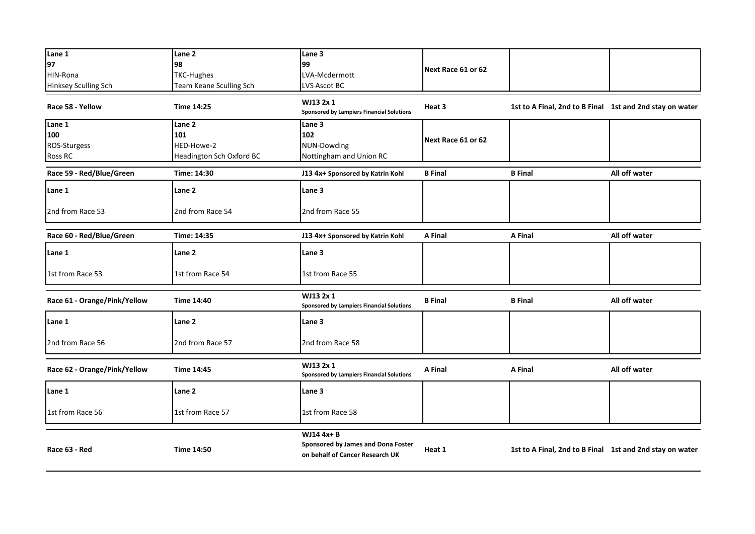| Lane 1<br>97                 | Lane <sub>2</sub><br>98                | Lane 3<br>99                                                                        |                    |                                                          |               |
|------------------------------|----------------------------------------|-------------------------------------------------------------------------------------|--------------------|----------------------------------------------------------|---------------|
| HIN-Rona                     | <b>TKC-Hughes</b>                      | LVA-Mcdermott                                                                       | Next Race 61 or 62 |                                                          |               |
| Hinksey Sculling Sch         | Team Keane Sculling Sch                | LVS Ascot BC                                                                        |                    |                                                          |               |
| Race 58 - Yellow             | <b>Time 14:25</b>                      | WJ13 2x 1<br><b>Sponsored by Lampiers Financial Solutions</b>                       | Heat 3             | 1st to A Final, 2nd to B Final 1st and 2nd stay on water |               |
| Lane 1                       | Lane 2                                 | Lane 3                                                                              |                    |                                                          |               |
| 100                          | 101                                    | 102                                                                                 | Next Race 61 or 62 |                                                          |               |
| ROS-Sturgess<br>Ross RC      | HED-Howe-2<br>Headington Sch Oxford BC | NUN-Dowding<br>Nottingham and Union RC                                              |                    |                                                          |               |
|                              |                                        |                                                                                     |                    |                                                          |               |
| Race 59 - Red/Blue/Green     | Time: 14:30                            | J13 4x+ Sponsored by Katrin Kohl                                                    | <b>B</b> Final     | <b>B</b> Final                                           | All off water |
| Lane 1                       | Lane 2                                 | Lane 3                                                                              |                    |                                                          |               |
| 2nd from Race 53             | 2nd from Race 54                       | 2nd from Race 55                                                                    |                    |                                                          |               |
| Race 60 - Red/Blue/Green     | Time: 14:35                            | J13 4x+ Sponsored by Katrin Kohl                                                    | A Final            | A Final                                                  | All off water |
| Lane 1                       | Lane 2                                 | Lane 3                                                                              |                    |                                                          |               |
| 1st from Race 53             | 1st from Race 54                       | 1st from Race 55                                                                    |                    |                                                          |               |
| Race 61 - Orange/Pink/Yellow | Time 14:40                             | WJ13 2x 1<br><b>Sponsored by Lampiers Financial Solutions</b>                       | <b>B</b> Final     | <b>B</b> Final                                           | All off water |
| Lane 1                       | Lane 2                                 | Lane 3                                                                              |                    |                                                          |               |
| 2nd from Race 56             | 2nd from Race 57                       | 2nd from Race 58                                                                    |                    |                                                          |               |
| Race 62 - Orange/Pink/Yellow | Time 14:45                             | WJ13 2x 1<br><b>Sponsored by Lampiers Financial Solutions</b>                       | A Final            | A Final                                                  | All off water |
| Lane 1                       | Lane 2                                 | Lane 3                                                                              |                    |                                                          |               |
| 1st from Race 56             | 1st from Race 57                       | 1st from Race 58                                                                    |                    |                                                          |               |
| Race 63 - Red                | <b>Time 14:50</b>                      | WJ14 4x+ B<br>Sponsored by James and Dona Foster<br>on behalf of Cancer Research UK | Heat 1             | 1st to A Final, 2nd to B Final 1st and 2nd stay on water |               |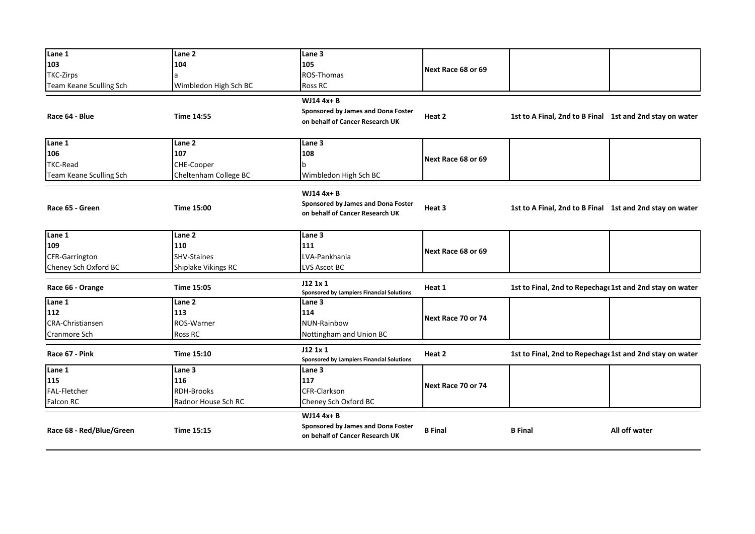| Lane 1                   | Lane <sub>2</sub>     | Lane 3                                           |                    |                                                          |               |
|--------------------------|-----------------------|--------------------------------------------------|--------------------|----------------------------------------------------------|---------------|
| 103                      | 104                   | 105                                              | Next Race 68 or 69 |                                                          |               |
| <b>TKC-Zirps</b>         |                       | ROS-Thomas                                       |                    |                                                          |               |
| Team Keane Sculling Sch  | Wimbledon High Sch BC | <b>Ross RC</b>                                   |                    |                                                          |               |
|                          |                       | WJ14 4x+ B                                       |                    |                                                          |               |
|                          |                       | Sponsored by James and Dona Foster               |                    |                                                          |               |
| Race 64 - Blue           | <b>Time 14:55</b>     | on behalf of Cancer Research UK                  | Heat 2             | 1st to A Final, 2nd to B Final 1st and 2nd stay on water |               |
|                          |                       |                                                  |                    |                                                          |               |
| Lane 1                   | Lane 2                | Lane 3                                           |                    |                                                          |               |
| 106                      | 107                   | 108                                              |                    |                                                          |               |
| TKC-Read                 | CHE-Cooper            | b                                                | Next Race 68 or 69 |                                                          |               |
| Team Keane Sculling Sch  | Cheltenham College BC | Wimbledon High Sch BC                            |                    |                                                          |               |
|                          |                       |                                                  |                    |                                                          |               |
|                          |                       | WJ14 4x+ B                                       |                    |                                                          |               |
| Race 65 - Green          | Time 15:00            | Sponsored by James and Dona Foster               | Heat 3             | 1st to A Final, 2nd to B Final 1st and 2nd stay on water |               |
|                          |                       | on behalf of Cancer Research UK                  |                    |                                                          |               |
|                          |                       |                                                  |                    |                                                          |               |
| Lane 1                   | Lane 2                | Lane 3                                           |                    |                                                          |               |
| 109                      | 110                   | 111                                              | Next Race 68 or 69 |                                                          |               |
| <b>CFR-Garrington</b>    | SHV-Staines           | LVA-Pankhania                                    |                    |                                                          |               |
| Cheney Sch Oxford BC     | Shiplake Vikings RC   | LVS Ascot BC                                     |                    |                                                          |               |
| Race 66 - Orange         | <b>Time 15:05</b>     | J12 1x 1                                         | Heat 1             | 1st to Final, 2nd to Repechage 1st and 2nd stay on water |               |
|                          |                       | <b>Sponsored by Lampiers Financial Solutions</b> |                    |                                                          |               |
| Lane 1                   | Lane 2                | Lane 3                                           |                    |                                                          |               |
| 112                      | 113                   | 114                                              | Next Race 70 or 74 |                                                          |               |
| <b>CRA-Christiansen</b>  | ROS-Warner            | NUN-Rainbow                                      |                    |                                                          |               |
| Cranmore Sch             | Ross RC               | Nottingham and Union BC                          |                    |                                                          |               |
|                          |                       | J121x1                                           |                    |                                                          |               |
| Race 67 - Pink           | Time 15:10            | <b>Sponsored by Lampiers Financial Solutions</b> | Heat 2             | 1st to Final, 2nd to Repechage 1st and 2nd stay on water |               |
| Lane 1                   | Lane 3                | Lane 3                                           |                    |                                                          |               |
| 115                      | 116                   | 117                                              | Next Race 70 or 74 |                                                          |               |
| FAL-Fletcher             | <b>RDH-Brooks</b>     | <b>CFR-Clarkson</b>                              |                    |                                                          |               |
| <b>Falcon RC</b>         | Radnor House Sch RC   | Cheney Sch Oxford BC                             |                    |                                                          |               |
|                          |                       | <b>WJ14 4x+B</b>                                 |                    |                                                          |               |
|                          |                       | Sponsored by James and Dona Foster               |                    |                                                          |               |
| Race 68 - Red/Blue/Green | <b>Time 15:15</b>     | on behalf of Cancer Research UK                  | <b>B</b> Final     | <b>B</b> Final                                           | All off water |
|                          |                       |                                                  |                    |                                                          |               |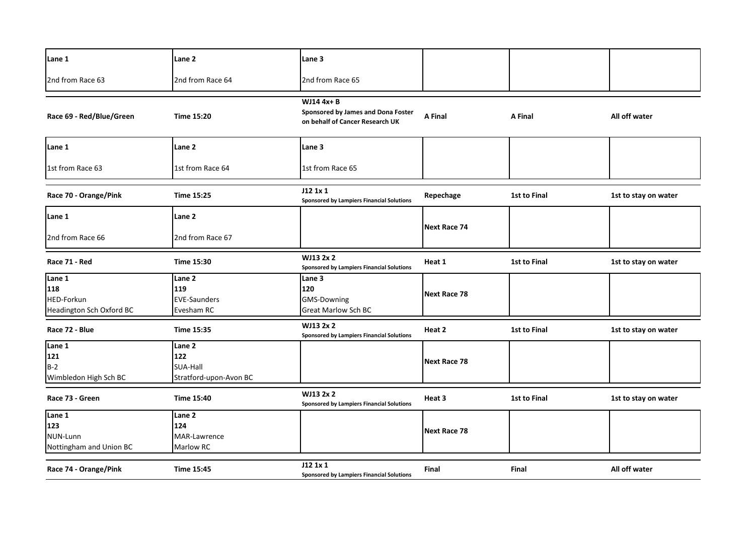| Lane 1                   | Lane 2                 | Lane <sub>3</sub>                                                                   |                     |                     |                      |
|--------------------------|------------------------|-------------------------------------------------------------------------------------|---------------------|---------------------|----------------------|
| 2nd from Race 63         | 2nd from Race 64       | 2nd from Race 65                                                                    |                     |                     |                      |
| Race 69 - Red/Blue/Green | <b>Time 15:20</b>      | WJ14 4x+ B<br>Sponsored by James and Dona Foster<br>on behalf of Cancer Research UK | A Final             | A Final             | All off water        |
| Lane 1                   | Lane 2                 | Lane <sub>3</sub>                                                                   |                     |                     |                      |
| 1st from Race 63         | 1st from Race 64       | 1st from Race 65                                                                    |                     |                     |                      |
| Race 70 - Orange/Pink    | Time 15:25             | J12 1x 1<br><b>Sponsored by Lampiers Financial Solutions</b>                        | Repechage           | 1st to Final        | 1st to stay on water |
| Lane 1                   | Lane 2                 |                                                                                     |                     |                     |                      |
| 2nd from Race 66         | 2nd from Race 67       |                                                                                     | Next Race 74        |                     |                      |
| Race 71 - Red            | Time 15:30             | WJ13 2x 2<br><b>Sponsored by Lampiers Financial Solutions</b>                       | Heat 1              | 1st to Final        | 1st to stay on water |
| Lane 1                   | Lane 2                 | Lane 3                                                                              |                     |                     |                      |
| 118                      | 119                    | 120                                                                                 |                     |                     |                      |
| HED-Forkun               | <b>EVE-Saunders</b>    | <b>GMS-Downing</b>                                                                  | <b>Next Race 78</b> |                     |                      |
| Headington Sch Oxford BC | Evesham RC             | <b>Great Marlow Sch BC</b>                                                          |                     |                     |                      |
| Race 72 - Blue           | Time 15:35             | WJ13 2x 2<br><b>Sponsored by Lampiers Financial Solutions</b>                       | Heat 2              | 1st to Final        | 1st to stay on water |
| Lane 1                   | Lane 2                 |                                                                                     |                     |                     |                      |
| 121                      | 122                    |                                                                                     |                     |                     |                      |
| $B-2$                    | SUA-Hall               |                                                                                     | <b>Next Race 78</b> |                     |                      |
| Wimbledon High Sch BC    | Stratford-upon-Avon BC |                                                                                     |                     |                     |                      |
| Race 73 - Green          | <b>Time 15:40</b>      | WJ13 2x 2<br><b>Sponsored by Lampiers Financial Solutions</b>                       | Heat 3              | <b>1st to Final</b> | 1st to stay on water |
| Lane 1                   | Lane 2                 |                                                                                     |                     |                     |                      |
| 123                      | 124                    |                                                                                     |                     |                     |                      |
| NUN-Lunn                 | MAR-Lawrence           |                                                                                     | <b>Next Race 78</b> |                     |                      |
| Nottingham and Union BC  | Marlow RC              |                                                                                     |                     |                     |                      |
| Race 74 - Orange/Pink    | <b>Time 15:45</b>      | J12 1x 1<br>Sponsored by Lampiers Financial Solutions                               | Final               | <b>Final</b>        | All off water        |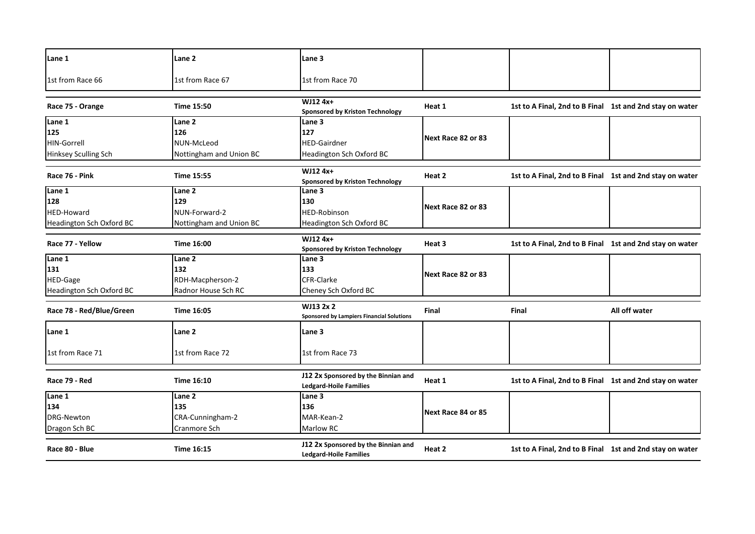| Lane 1                          | Lane 2                  | <b>Lane 3</b>                                                        |                    |                                                          |               |
|---------------------------------|-------------------------|----------------------------------------------------------------------|--------------------|----------------------------------------------------------|---------------|
| 1st from Race 66                | 1st from Race 67        | 1st from Race 70                                                     |                    |                                                          |               |
| Race 75 - Orange                | <b>Time 15:50</b>       | WJ12 4x+<br><b>Sponsored by Kriston Technology</b>                   | Heat 1             | 1st to A Final, 2nd to B Final 1st and 2nd stay on water |               |
| Lane 1                          | Lane <sub>2</sub>       | Lane 3                                                               |                    |                                                          |               |
| 125                             | 126                     | 127                                                                  | Next Race 82 or 83 |                                                          |               |
| <b>HIN-Gorrell</b>              | NUN-McLeod              | <b>HED-Gairdner</b>                                                  |                    |                                                          |               |
| <b>Hinksey Sculling Sch</b>     | Nottingham and Union BC | Headington Sch Oxford BC                                             |                    |                                                          |               |
| Race 76 - Pink                  | Time 15:55              | WJ12 4x+<br><b>Sponsored by Kriston Technology</b>                   | Heat 2             | 1st to A Final, 2nd to B Final 1st and 2nd stay on water |               |
| Lane $\overline{1}$             | Lane 2                  | Lane 3                                                               |                    |                                                          |               |
| 128                             | 129                     | 130                                                                  | Next Race 82 or 83 |                                                          |               |
| <b>HED-Howard</b>               | NUN-Forward-2           | <b>HED-Robinson</b>                                                  |                    |                                                          |               |
| Headington Sch Oxford BC        | Nottingham and Union BC | Headington Sch Oxford BC                                             |                    |                                                          |               |
| Race 77 - Yellow                | <b>Time 16:00</b>       | WJ12 4x+<br><b>Sponsored by Kriston Technology</b>                   | Heat 3             | 1st to A Final, 2nd to B Final 1st and 2nd stay on water |               |
| Lane 1                          | Lane 2                  | Lane 3                                                               |                    |                                                          |               |
| 131                             | 132                     | 133                                                                  | Next Race 82 or 83 |                                                          |               |
| HED-Gage                        | RDH-Macpherson-2        | CFR-Clarke                                                           |                    |                                                          |               |
| <b>Headington Sch Oxford BC</b> | Radnor House Sch RC     | Cheney Sch Oxford BC                                                 |                    |                                                          |               |
| Race 78 - Red/Blue/Green        | Time 16:05              | WJ13 2x 2<br><b>Sponsored by Lampiers Financial Solutions</b>        | Final              | <b>Final</b>                                             | All off water |
| Lane 1                          | Lane 2                  | Lane 3                                                               |                    |                                                          |               |
| 1st from Race 71                | 1st from Race 72        | 1st from Race 73                                                     |                    |                                                          |               |
| Race 79 - Red                   | Time 16:10              | J12 2x Sponsored by the Binnian and<br><b>Ledgard-Hoile Families</b> | Heat 1             | 1st to A Final, 2nd to B Final 1st and 2nd stay on water |               |
| Lane 1                          | Lane 2                  | Lane 3                                                               |                    |                                                          |               |
| 134                             | 135                     | 136                                                                  | Next Race 84 or 85 |                                                          |               |
| DRG-Newton                      | CRA-Cunningham-2        | MAR-Kean-2                                                           |                    |                                                          |               |
| Dragon Sch BC                   | Cranmore Sch            | Marlow RC                                                            |                    |                                                          |               |
| Race 80 - Blue                  | Time 16:15              | J12 2x Sponsored by the Binnian and<br><b>Ledgard-Hoile Families</b> | Heat 2             | 1st to A Final, 2nd to B Final 1st and 2nd stay on water |               |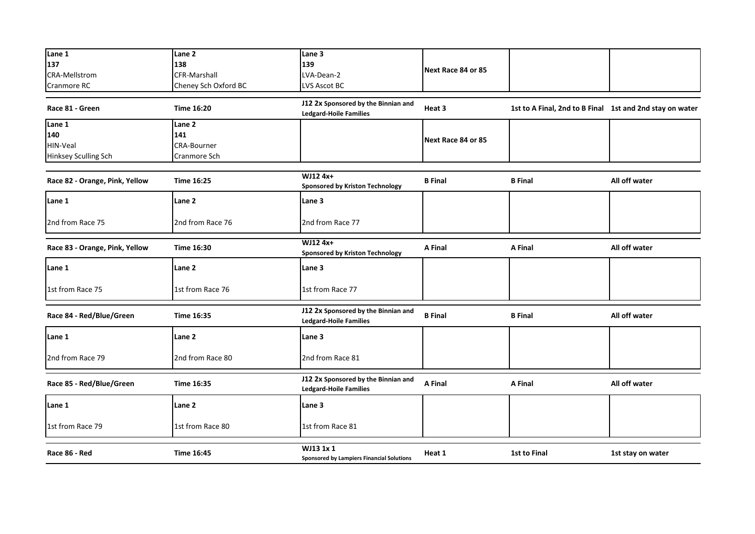| Lane 1                         | Lane 2               | Lane 3                                                               |                    |                                                          |                   |
|--------------------------------|----------------------|----------------------------------------------------------------------|--------------------|----------------------------------------------------------|-------------------|
| 137                            | 138                  | 139                                                                  | Next Race 84 or 85 |                                                          |                   |
| <b>CRA-Mellstrom</b>           | <b>CFR-Marshall</b>  | LVA-Dean-2                                                           |                    |                                                          |                   |
| Cranmore RC                    | Cheney Sch Oxford BC | LVS Ascot BC                                                         |                    |                                                          |                   |
| Race 81 - Green                | Time 16:20           | J12 2x Sponsored by the Binnian and<br><b>Ledgard-Hoile Families</b> | Heat 3             | 1st to A Final, 2nd to B Final 1st and 2nd stay on water |                   |
| Lane 1                         | Lane 2               |                                                                      |                    |                                                          |                   |
| 140                            | 141                  |                                                                      |                    |                                                          |                   |
| HIN-Veal                       | <b>CRA-Bourner</b>   |                                                                      | Next Race 84 or 85 |                                                          |                   |
| Hinksey Sculling Sch           | Cranmore Sch         |                                                                      |                    |                                                          |                   |
|                                |                      |                                                                      |                    |                                                          |                   |
| Race 82 - Orange, Pink, Yellow | <b>Time 16:25</b>    | WJ12 4x+<br><b>Sponsored by Kriston Technology</b>                   | <b>B</b> Final     | <b>B</b> Final                                           | All off water     |
| Lane 1                         | Lane 2               | Lane 3                                                               |                    |                                                          |                   |
| 2nd from Race 75               | 2nd from Race 76     | 2nd from Race 77                                                     |                    |                                                          |                   |
| Race 83 - Orange, Pink, Yellow | Time 16:30           | WJ12 4x+<br><b>Sponsored by Kriston Technology</b>                   | A Final            | A Final                                                  | All off water     |
| Lane 1                         | Lane 2               | Lane 3                                                               |                    |                                                          |                   |
| 1st from Race 75               | 1st from Race 76     | 1st from Race 77                                                     |                    |                                                          |                   |
| Race 84 - Red/Blue/Green       | Time 16:35           | J12 2x Sponsored by the Binnian and<br><b>Ledgard-Hoile Families</b> | <b>B</b> Final     | <b>B</b> Final                                           | All off water     |
| Lane 1                         | Lane 2               | Lane 3                                                               |                    |                                                          |                   |
| 2nd from Race 79               | 2nd from Race 80     | 2nd from Race 81                                                     |                    |                                                          |                   |
| Race 85 - Red/Blue/Green       | Time 16:35           | J12 2x Sponsored by the Binnian and<br><b>Ledgard-Hoile Families</b> | A Final            | A Final                                                  | All off water     |
| Lane 1                         | Lane 2               | Lane 3                                                               |                    |                                                          |                   |
| 1st from Race 79               | 1st from Race 80     | 1st from Race 81                                                     |                    |                                                          |                   |
| Race 86 - Red                  | Time 16:45           | WJ13 1x 1<br>Sponsored by Lampiers Financial Solutions               | Heat 1             | 1st to Final                                             | 1st stay on water |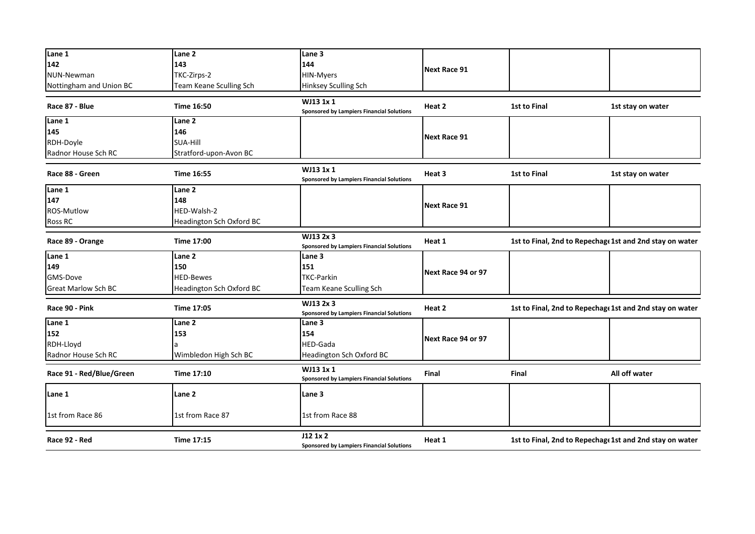| Lane 1                     | Lane 2                   | Lane 3                                                        |                     |                                                          |                   |
|----------------------------|--------------------------|---------------------------------------------------------------|---------------------|----------------------------------------------------------|-------------------|
| 142                        | 143                      | 144                                                           |                     |                                                          |                   |
| NUN-Newman                 | TKC-Zirps-2              | <b>HIN-Myers</b>                                              | <b>Next Race 91</b> |                                                          |                   |
| Nottingham and Union BC    | Team Keane Sculling Sch  | Hinksey Sculling Sch                                          |                     |                                                          |                   |
|                            |                          |                                                               |                     |                                                          |                   |
| Race 87 - Blue             | Time 16:50               | WJ13 1x 1<br><b>Sponsored by Lampiers Financial Solutions</b> | Heat 2              | 1st to Final                                             | 1st stay on water |
| Lane 1                     | Lane 2                   |                                                               |                     |                                                          |                   |
| 145                        | 146                      |                                                               | <b>Next Race 91</b> |                                                          |                   |
| RDH-Doyle                  | SUA-Hill                 |                                                               |                     |                                                          |                   |
| Radnor House Sch RC        | Stratford-upon-Avon BC   |                                                               |                     |                                                          |                   |
| Race 88 - Green            | Time 16:55               | WJ13 1x 1<br>Sponsored by Lampiers Financial Solutions        | Heat 3              | 1st to Final                                             | 1st stay on water |
| Lane 1                     | Lane 2                   |                                                               |                     |                                                          |                   |
| 147                        | 148                      |                                                               |                     |                                                          |                   |
| ROS-Mutlow                 | HED-Walsh-2              |                                                               | <b>Next Race 91</b> |                                                          |                   |
| <b>Ross RC</b>             | Headington Sch Oxford BC |                                                               |                     |                                                          |                   |
|                            |                          |                                                               |                     |                                                          |                   |
| Race 89 - Orange           | Time 17:00               | WJ13 2x 3<br><b>Sponsored by Lampiers Financial Solutions</b> | Heat 1              | 1st to Final, 2nd to Repechage 1st and 2nd stay on water |                   |
| Lane 1                     | Lane 2                   | Lane 3                                                        |                     |                                                          |                   |
| 149                        | 150                      | 151                                                           | Next Race 94 or 97  |                                                          |                   |
| GMS-Dove                   | <b>HED-Bewes</b>         | <b>TKC-Parkin</b>                                             |                     |                                                          |                   |
| <b>Great Marlow Sch BC</b> | Headington Sch Oxford BC | Team Keane Sculling Sch                                       |                     |                                                          |                   |
| Race 90 - Pink             | Time 17:05               | WJ13 2x 3<br><b>Sponsored by Lampiers Financial Solutions</b> | Heat 2              | 1st to Final, 2nd to Repechage 1st and 2nd stay on water |                   |
| Lane 1                     | Lane 2                   | Lane <sub>3</sub>                                             |                     |                                                          |                   |
| 152                        | 153                      | 154                                                           | Next Race 94 or 97  |                                                          |                   |
| RDH-Lloyd                  |                          | HED-Gada                                                      |                     |                                                          |                   |
| Radnor House Sch RC        | Wimbledon High Sch BC    | Headington Sch Oxford BC                                      |                     |                                                          |                   |
| Race 91 - Red/Blue/Green   | Time 17:10               | WJ13 1x 1<br><b>Sponsored by Lampiers Financial Solutions</b> | Final               | Final                                                    | All off water     |
| Lane 1                     | Lane 2                   | Lane 3                                                        |                     |                                                          |                   |
| 1st from Race 86           | 1st from Race 87         | 1st from Race 88                                              |                     |                                                          |                   |
| Race 92 - Red              | Time 17:15               | J121x2<br>Sponsored by Lampiers Financial Solutions           | Heat 1              | 1st to Final, 2nd to Repechage 1st and 2nd stay on water |                   |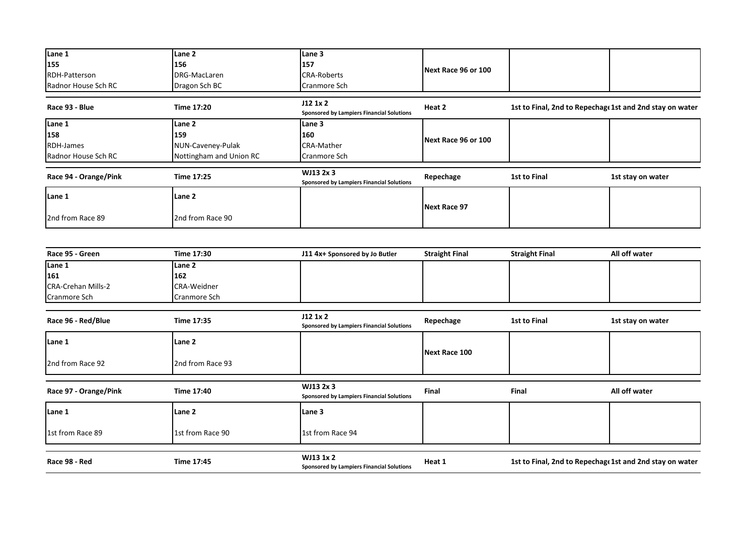| Lane 1                | Lane 2                  | Lane 3                                                 | Next Race 96 or 100 |                                                          |                   |
|-----------------------|-------------------------|--------------------------------------------------------|---------------------|----------------------------------------------------------|-------------------|
| 155                   | 156                     | 157                                                    |                     |                                                          |                   |
| <b>RDH-Patterson</b>  | DRG-MacLaren            | <b>CRA-Roberts</b>                                     |                     |                                                          |                   |
| Radnor House Sch RC   | Dragon Sch BC           | Cranmore Sch                                           |                     |                                                          |                   |
| Race 93 - Blue        | Time 17:20              | J121x2<br>Sponsored by Lampiers Financial Solutions    | Heat 2              | 1st to Final, 2nd to Repechage 1st and 2nd stay on water |                   |
| Lane 1                | Lane 2                  | Lane 3                                                 |                     |                                                          |                   |
| 158                   | 159                     | 160                                                    | Next Race 96 or 100 |                                                          |                   |
| RDH-James             | NUN-Caveney-Pulak       | <b>CRA-Mather</b>                                      |                     |                                                          |                   |
| Radnor House Sch RC   | Nottingham and Union RC | Cranmore Sch                                           |                     |                                                          |                   |
| Race 94 - Orange/Pink | Time 17:25              | WJ13 2x 3<br>Sponsored by Lampiers Financial Solutions | Repechage           | 1st to Final                                             | 1st stay on water |
| Lane 1                | Lane 2                  |                                                        | Next Race 97        |                                                          |                   |
| 2nd from Race 89      | 2nd from Race 90        |                                                        |                     |                                                          |                   |

| Race 95 - Green           | Time 17:30       | J11 4x+ Sponsored by Jo Butler                                | <b>Straight Final</b> | <b>Straight Final</b>                                    | All off water     |  |
|---------------------------|------------------|---------------------------------------------------------------|-----------------------|----------------------------------------------------------|-------------------|--|
| Lane 1                    | Lane 2           |                                                               |                       |                                                          |                   |  |
| 161                       | 162              |                                                               |                       |                                                          |                   |  |
| <b>CRA-Crehan Mills-2</b> | CRA-Weidner      |                                                               |                       |                                                          |                   |  |
| Cranmore Sch              | Cranmore Sch     |                                                               |                       |                                                          |                   |  |
| Race 96 - Red/Blue        | Time 17:35       | J121x2<br><b>Sponsored by Lampiers Financial Solutions</b>    | Repechage             | 1st to Final                                             | 1st stay on water |  |
| Lane 1                    | Lane 2           |                                                               | Next Race 100         |                                                          |                   |  |
| 2nd from Race 92          | 2nd from Race 93 |                                                               |                       |                                                          |                   |  |
| Race 97 - Orange/Pink     | Time 17:40       | WJ13 2x 3<br>Sponsored by Lampiers Financial Solutions        | Final                 | <b>Final</b>                                             | All off water     |  |
| Lane 1                    | Lane 2           | Lane 3                                                        |                       |                                                          |                   |  |
| 1st from Race 89          | 1st from Race 90 | 1st from Race 94                                              |                       |                                                          |                   |  |
|                           |                  |                                                               |                       |                                                          |                   |  |
| Race 98 - Red             | Time 17:45       | WJ13 1x 2<br><b>Sponsored by Lampiers Financial Solutions</b> | Heat 1                | 1st to Final, 2nd to Repechage 1st and 2nd stay on water |                   |  |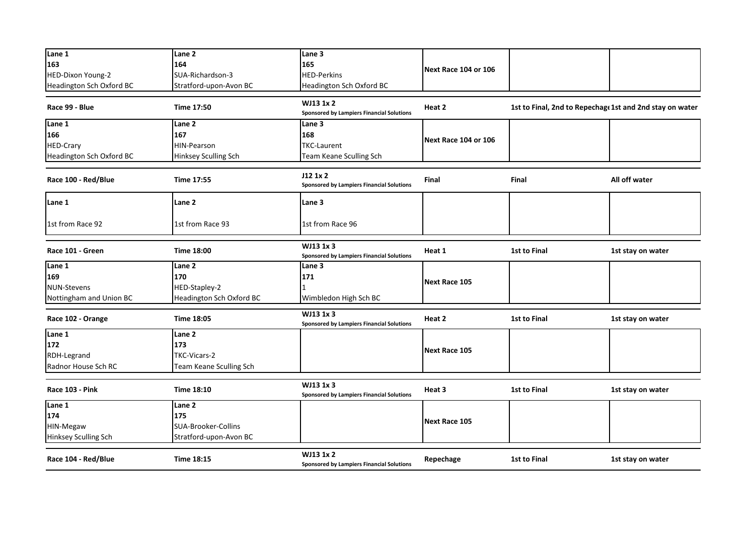| Lane 1                   | Lane <sub>2</sub>        | Lane 3                                                        |                      |                                                          |                   |
|--------------------------|--------------------------|---------------------------------------------------------------|----------------------|----------------------------------------------------------|-------------------|
| 163                      | 164                      | 165                                                           | Next Race 104 or 106 |                                                          |                   |
| HED-Dixon Young-2        | SUA-Richardson-3         | <b>HED-Perkins</b>                                            |                      |                                                          |                   |
| Headington Sch Oxford BC | Stratford-upon-Avon BC   | Headington Sch Oxford BC                                      |                      |                                                          |                   |
| Race 99 - Blue           | <b>Time 17:50</b>        | WJ13 1x 2<br><b>Sponsored by Lampiers Financial Solutions</b> | Heat 2               | 1st to Final, 2nd to Repechage 1st and 2nd stay on water |                   |
| Lane 1                   | Lane 2                   | Lane 3                                                        |                      |                                                          |                   |
| 166                      | 167                      | 168                                                           | Next Race 104 or 106 |                                                          |                   |
| <b>HED-Crary</b>         | HIN-Pearson              | <b>TKC-Laurent</b>                                            |                      |                                                          |                   |
| Headington Sch Oxford BC | Hinksey Sculling Sch     | Team Keane Sculling Sch                                       |                      |                                                          |                   |
| Race 100 - Red/Blue      | Time 17:55               | J12 1x 2<br><b>Sponsored by Lampiers Financial Solutions</b>  | Final                | Final                                                    | All off water     |
| Lane 1                   | Lane 2                   | Lane 3                                                        |                      |                                                          |                   |
| 1st from Race 92         | 1st from Race 93         | 1st from Race 96                                              |                      |                                                          |                   |
| Race 101 - Green         | <b>Time 18:00</b>        | WJ13 1x 3<br><b>Sponsored by Lampiers Financial Solutions</b> | Heat 1               | 1st to Final                                             | 1st stay on water |
| Lane 1                   | Lane 2                   | Lane 3                                                        |                      |                                                          |                   |
| 169                      | 170                      | 171                                                           |                      |                                                          |                   |
| <b>NUN-Stevens</b>       | HED-Stapley-2            |                                                               | Next Race 105        |                                                          |                   |
| Nottingham and Union BC  | Headington Sch Oxford BC | Wimbledon High Sch BC                                         |                      |                                                          |                   |
| Race 102 - Orange        | <b>Time 18:05</b>        | WJ13 1x 3<br><b>Sponsored by Lampiers Financial Solutions</b> | Heat 2               | 1st to Final                                             | 1st stay on water |
| Lane 1                   | Lane 2                   |                                                               |                      |                                                          |                   |
| 172                      | 173                      |                                                               | <b>Next Race 105</b> |                                                          |                   |
| RDH-Legrand              | TKC-Vicars-2             |                                                               |                      |                                                          |                   |
| Radnor House Sch RC      | Team Keane Sculling Sch  |                                                               |                      |                                                          |                   |
| Race 103 - Pink          | <b>Time 18:10</b>        | WJ13 1x 3<br><b>Sponsored by Lampiers Financial Solutions</b> | Heat 3               | <b>1st to Final</b>                                      | 1st stay on water |
| Lane 1                   | Lane 2                   |                                                               |                      |                                                          |                   |
| 174                      | 175                      |                                                               | <b>Next Race 105</b> |                                                          |                   |
| HIN-Megaw                | SUA-Brooker-Collins      |                                                               |                      |                                                          |                   |
| Hinksey Sculling Sch     | Stratford-upon-Avon BC   |                                                               |                      |                                                          |                   |
| Race 104 - Red/Blue      | Time 18:15               | WJ13 1x 2<br><b>Sponsored by Lampiers Financial Solutions</b> | Repechage            | <b>1st to Final</b>                                      | 1st stay on water |